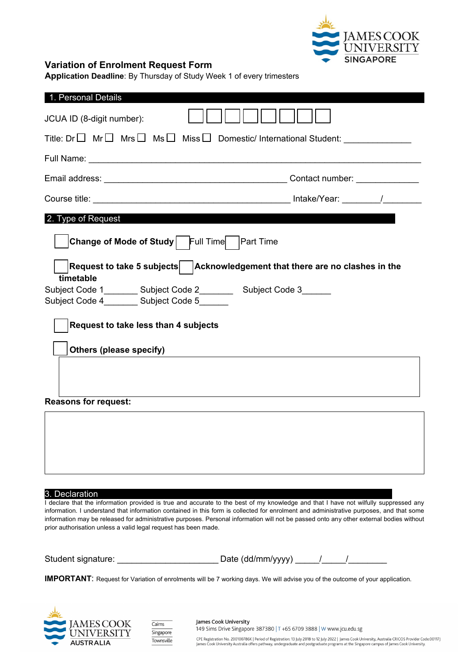

## **Variation of Enrolment Request Form**

**Application Deadline**: By Thursday of Study Week 1 of every trimesters

| 1. Personal Details                                                                                                         |  |  |
|-----------------------------------------------------------------------------------------------------------------------------|--|--|
| JCUA ID (8-digit number):                                                                                                   |  |  |
| Title: Dr $\Box$ Mr $\Box$ Mrs $\Box$ Ms $\Box$ Miss $\Box$ Domestic/ International Student: ______________                 |  |  |
|                                                                                                                             |  |  |
|                                                                                                                             |  |  |
|                                                                                                                             |  |  |
| 2. Type of Request                                                                                                          |  |  |
| <b>Change of Mode of Study</b> Full Time<br><b>Part Time</b>                                                                |  |  |
| $ \textsf{Request}$ to take 5 subjects $ \textsf{ } \textsf{Acknowledgement}$ that there are no clashes in the<br>timetable |  |  |
| Subject Code 1_________ Subject Code 2__________ Subject Code 3_______<br>Subject Code 4_________ Subject Code 5_______     |  |  |
| <b>Request to take less than 4 subjects</b>                                                                                 |  |  |
| Others (please specify)                                                                                                     |  |  |
|                                                                                                                             |  |  |
| <b>Reasons for request:</b>                                                                                                 |  |  |
|                                                                                                                             |  |  |
|                                                                                                                             |  |  |
|                                                                                                                             |  |  |

3. Declaration

I declare that the information provided is true and accurate to the best of my knowledge and that I have not wilfully suppressed any information. I understand that information contained in this form is collected for enrolment and administrative purposes, and that some information may be released for administrative purposes. Personal information will not be passed onto any other external bodies without prior authorisation unless a valid legal request has been made.

Student signature: \_\_\_\_\_\_\_\_\_\_\_\_\_\_\_\_\_\_\_\_\_\_\_\_\_\_Date (dd/mm/yyyy) \_\_\_\_\_/

**IMPORTANT**: Request for Variation of enrolments will be 7 working days. We will advise you of the outcome of your application.





James Cook University 149 Sims Drive Singapore 387380 | T +65 6709 3888 | W www.jcu.edu.sg

CPE Registration No. 200100786K | Period of Registration: 13 July 2018 to 12 July 2022 | James Cook University, Australia CRICOS Provider Code:00117J James Cook University Australia offers pathway, undergraduate and postgraduate programs at the Singapore campus of James Cook University